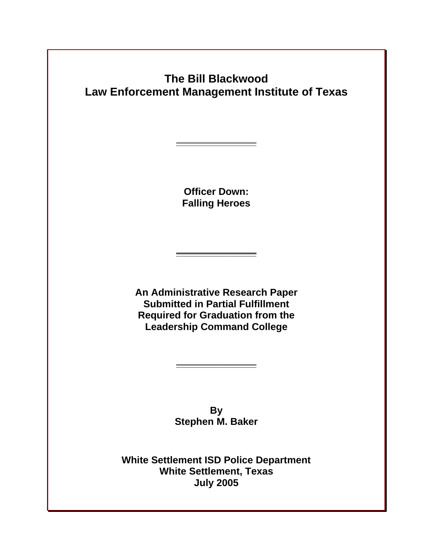# **The Bill Blackwood Law Enforcement Management Institute of Texas**

**Officer Down: Falling Heroes** 

**\_\_\_\_\_\_\_\_\_\_\_\_\_\_\_\_\_**

**An Administrative Research Paper Submitted in Partial Fulfillment Required for Graduation from the Leadership Command College**

**\_\_\_\_\_\_\_\_\_\_\_\_\_\_\_\_\_**

**By Stephen M. Baker**

**\_\_\_\_\_\_\_\_\_\_\_\_\_\_\_\_\_**

 **White Settlement ISD Police Department White Settlement, Texas July 2005**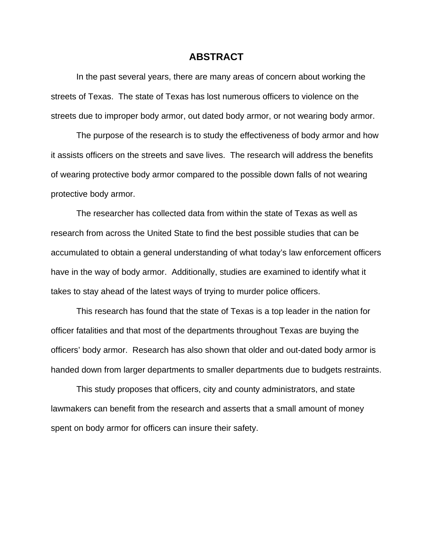#### **ABSTRACT**

In the past several years, there are many areas of concern about working the streets of Texas. The state of Texas has lost numerous officers to violence on the streets due to improper body armor, out dated body armor, or not wearing body armor.

 The purpose of the research is to study the effectiveness of body armor and how it assists officers on the streets and save lives. The research will address the benefits of wearing protective body armor compared to the possible down falls of not wearing protective body armor.

The researcher has collected data from within the state of Texas as well as research from across the United State to find the best possible studies that can be accumulated to obtain a general understanding of what today's law enforcement officers have in the way of body armor. Additionally, studies are examined to identify what it takes to stay ahead of the latest ways of trying to murder police officers.

This research has found that the state of Texas is a top leader in the nation for officer fatalities and that most of the departments throughout Texas are buying the officers' body armor. Research has also shown that older and out-dated body armor is handed down from larger departments to smaller departments due to budgets restraints.

This study proposes that officers, city and county administrators, and state lawmakers can benefit from the research and asserts that a small amount of money spent on body armor for officers can insure their safety.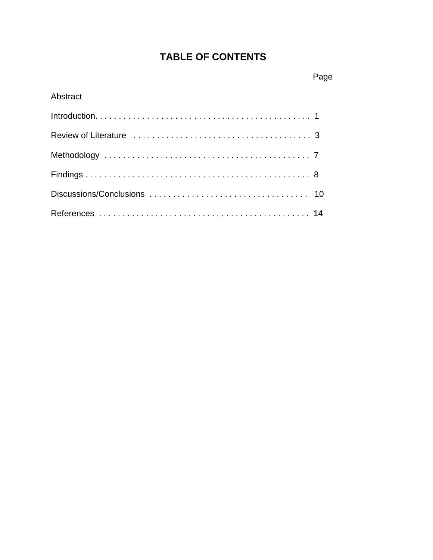# **TABLE OF CONTENTS**

# Abstract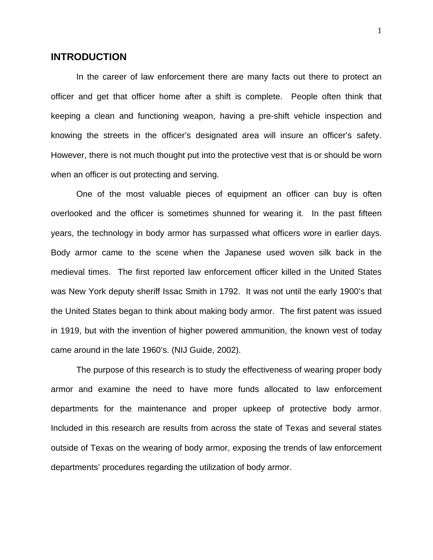### **INTRODUCTION**

In the career of law enforcement there are many facts out there to protect an officer and get that officer home after a shift is complete. People often think that keeping a clean and functioning weapon, having a pre-shift vehicle inspection and knowing the streets in the officer's designated area will insure an officer's safety. However, there is not much thought put into the protective vest that is or should be worn when an officer is out protecting and serving.

One of the most valuable pieces of equipment an officer can buy is often overlooked and the officer is sometimes shunned for wearing it. In the past fifteen years, the technology in body armor has surpassed what officers wore in earlier days. Body armor came to the scene when the Japanese used woven silk back in the medieval times. The first reported law enforcement officer killed in the United States was New York deputy sheriff Issac Smith in 1792. It was not until the early 1900's that the United States began to think about making body armor. The first patent was issued in 1919, but with the invention of higher powered ammunition, the known vest of today came around in the late 1960's. (NIJ Guide, 2002).

The purpose of this research is to study the effectiveness of wearing proper body armor and examine the need to have more funds allocated to law enforcement departments for the maintenance and proper upkeep of protective body armor. Included in this research are results from across the state of Texas and several states outside of Texas on the wearing of body armor, exposing the trends of law enforcement departments' procedures regarding the utilization of body armor.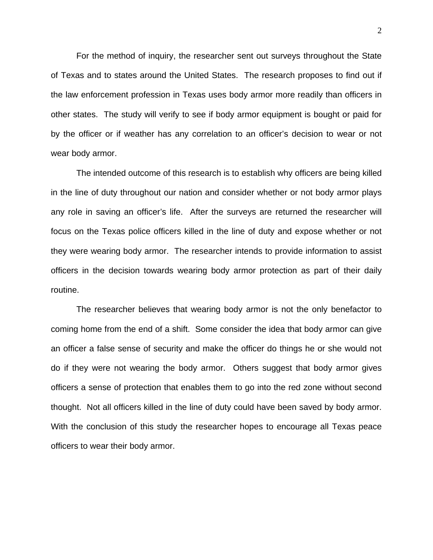For the method of inquiry, the researcher sent out surveys throughout the State of Texas and to states around the United States. The research proposes to find out if the law enforcement profession in Texas uses body armor more readily than officers in other states. The study will verify to see if body armor equipment is bought or paid for by the officer or if weather has any correlation to an officer's decision to wear or not wear body armor.

The intended outcome of this research is to establish why officers are being killed in the line of duty throughout our nation and consider whether or not body armor plays any role in saving an officer's life. After the surveys are returned the researcher will focus on the Texas police officers killed in the line of duty and expose whether or not they were wearing body armor. The researcher intends to provide information to assist officers in the decision towards wearing body armor protection as part of their daily routine.

The researcher believes that wearing body armor is not the only benefactor to coming home from the end of a shift. Some consider the idea that body armor can give an officer a false sense of security and make the officer do things he or she would not do if they were not wearing the body armor. Others suggest that body armor gives officers a sense of protection that enables them to go into the red zone without second thought. Not all officers killed in the line of duty could have been saved by body armor. With the conclusion of this study the researcher hopes to encourage all Texas peace officers to wear their body armor.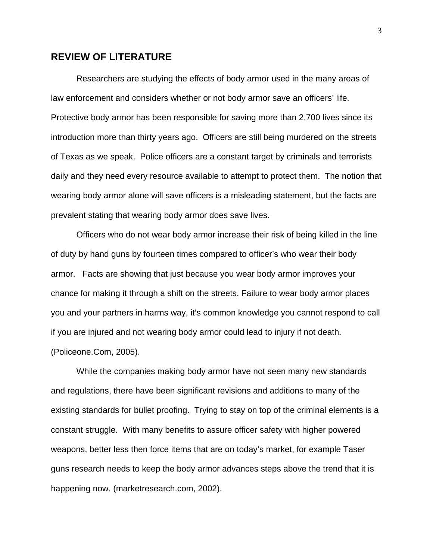# **REVIEW OF LITERATURE**

Researchers are studying the effects of body armor used in the many areas of law enforcement and considers whether or not body armor save an officers' life. Protective body armor has been responsible for saving more than 2,700 lives since its introduction more than thirty years ago. Officers are still being murdered on the streets of Texas as we speak. Police officers are a constant target by criminals and terrorists daily and they need every resource available to attempt to protect them. The notion that wearing body armor alone will save officers is a misleading statement, but the facts are prevalent stating that wearing body armor does save lives.

Officers who do not wear body armor increase their risk of being killed in the line of duty by hand guns by fourteen times compared to officer's who wear their body armor. Facts are showing that just because you wear body armor improves your chance for making it through a shift on the streets. Failure to wear body armor places you and your partners in harms way, it's common knowledge you cannot respond to call if you are injured and not wearing body armor could lead to injury if not death. (Policeone.Com, 2005).

While the companies making body armor have not seen many new standards and regulations, there have been significant revisions and additions to many of the existing standards for bullet proofing. Trying to stay on top of the criminal elements is a constant struggle. With many benefits to assure officer safety with higher powered weapons, better less then force items that are on today's market, for example Taser guns research needs to keep the body armor advances steps above the trend that it is happening now. (marketresearch.com, 2002).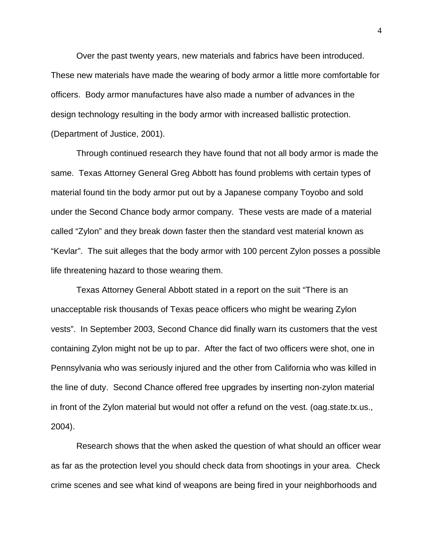Over the past twenty years, new materials and fabrics have been introduced. These new materials have made the wearing of body armor a little more comfortable for officers. Body armor manufactures have also made a number of advances in the design technology resulting in the body armor with increased ballistic protection. (Department of Justice, 2001).

Through continued research they have found that not all body armor is made the same. Texas Attorney General Greg Abbott has found problems with certain types of material found tin the body armor put out by a Japanese company Toyobo and sold under the Second Chance body armor company. These vests are made of a material called "Zylon" and they break down faster then the standard vest material known as "Kevlar". The suit alleges that the body armor with 100 percent Zylon posses a possible life threatening hazard to those wearing them.

Texas Attorney General Abbott stated in a report on the suit "There is an unacceptable risk thousands of Texas peace officers who might be wearing Zylon vests". In September 2003, Second Chance did finally warn its customers that the vest containing Zylon might not be up to par. After the fact of two officers were shot, one in Pennsylvania who was seriously injured and the other from California who was killed in the line of duty. Second Chance offered free upgrades by inserting non-zylon material in front of the Zylon material but would not offer a refund on the vest. (oag.state.tx.us., 2004).

Research shows that the when asked the question of what should an officer wear as far as the protection level you should check data from shootings in your area. Check crime scenes and see what kind of weapons are being fired in your neighborhoods and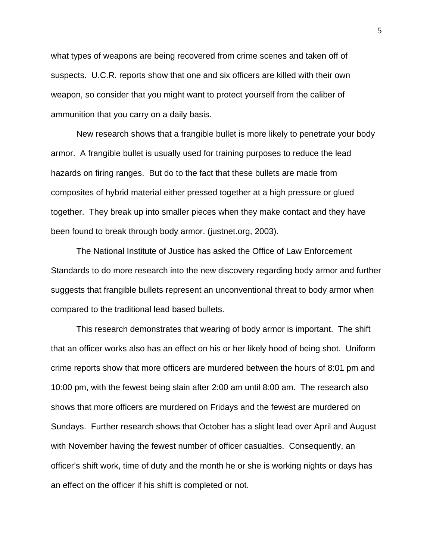what types of weapons are being recovered from crime scenes and taken off of suspects. U.C.R. reports show that one and six officers are killed with their own weapon, so consider that you might want to protect yourself from the caliber of ammunition that you carry on a daily basis.

New research shows that a frangible bullet is more likely to penetrate your body armor. A frangible bullet is usually used for training purposes to reduce the lead hazards on firing ranges. But do to the fact that these bullets are made from composites of hybrid material either pressed together at a high pressure or glued together. They break up into smaller pieces when they make contact and they have been found to break through body armor. (justnet.org, 2003).

The National Institute of Justice has asked the Office of Law Enforcement Standards to do more research into the new discovery regarding body armor and further suggests that frangible bullets represent an unconventional threat to body armor when compared to the traditional lead based bullets.

This research demonstrates that wearing of body armor is important. The shift that an officer works also has an effect on his or her likely hood of being shot. Uniform crime reports show that more officers are murdered between the hours of 8:01 pm and 10:00 pm, with the fewest being slain after 2:00 am until 8:00 am. The research also shows that more officers are murdered on Fridays and the fewest are murdered on Sundays. Further research shows that October has a slight lead over April and August with November having the fewest number of officer casualties. Consequently, an officer's shift work, time of duty and the month he or she is working nights or days has an effect on the officer if his shift is completed or not.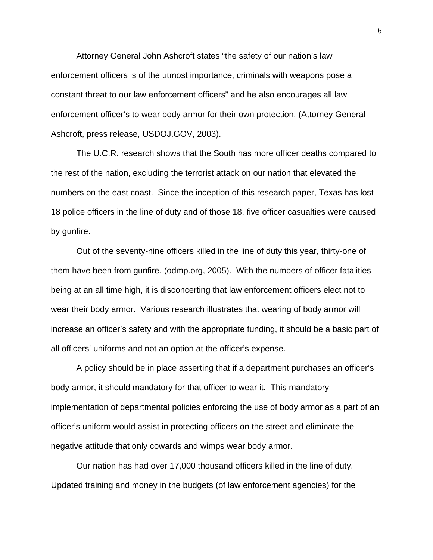Attorney General John Ashcroft states "the safety of our nation's law enforcement officers is of the utmost importance, criminals with weapons pose a constant threat to our law enforcement officers" and he also encourages all law enforcement officer's to wear body armor for their own protection. (Attorney General Ashcroft, press release, USDOJ.GOV, 2003).

The U.C.R. research shows that the South has more officer deaths compared to the rest of the nation, excluding the terrorist attack on our nation that elevated the numbers on the east coast. Since the inception of this research paper, Texas has lost 18 police officers in the line of duty and of those 18, five officer casualties were caused by gunfire.

Out of the seventy-nine officers killed in the line of duty this year, thirty-one of them have been from gunfire. (odmp.org, 2005). With the numbers of officer fatalities being at an all time high, it is disconcerting that law enforcement officers elect not to wear their body armor. Various research illustrates that wearing of body armor will increase an officer's safety and with the appropriate funding, it should be a basic part of all officers' uniforms and not an option at the officer's expense.

A policy should be in place asserting that if a department purchases an officer's body armor, it should mandatory for that officer to wear it. This mandatory implementation of departmental policies enforcing the use of body armor as a part of an officer's uniform would assist in protecting officers on the street and eliminate the negative attitude that only cowards and wimps wear body armor.

Our nation has had over 17,000 thousand officers killed in the line of duty. Updated training and money in the budgets (of law enforcement agencies) for the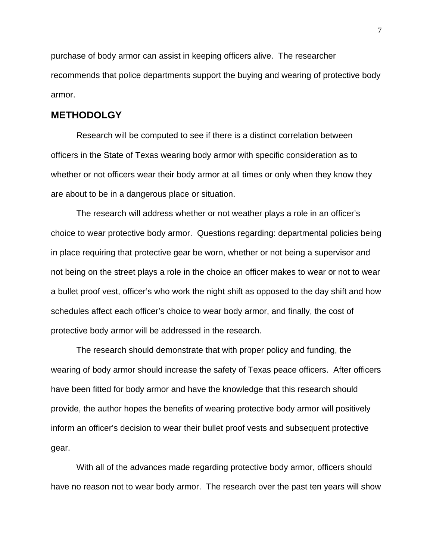purchase of body armor can assist in keeping officers alive. The researcher recommends that police departments support the buying and wearing of protective body armor.

### **METHODOLGY**

Research will be computed to see if there is a distinct correlation between officers in the State of Texas wearing body armor with specific consideration as to whether or not officers wear their body armor at all times or only when they know they are about to be in a dangerous place or situation.

The research will address whether or not weather plays a role in an officer's choice to wear protective body armor. Questions regarding: departmental policies being in place requiring that protective gear be worn, whether or not being a supervisor and not being on the street plays a role in the choice an officer makes to wear or not to wear a bullet proof vest, officer's who work the night shift as opposed to the day shift and how schedules affect each officer's choice to wear body armor, and finally, the cost of protective body armor will be addressed in the research.

The research should demonstrate that with proper policy and funding, the wearing of body armor should increase the safety of Texas peace officers. After officers have been fitted for body armor and have the knowledge that this research should provide, the author hopes the benefits of wearing protective body armor will positively inform an officer's decision to wear their bullet proof vests and subsequent protective gear.

 With all of the advances made regarding protective body armor, officers should have no reason not to wear body armor. The research over the past ten years will show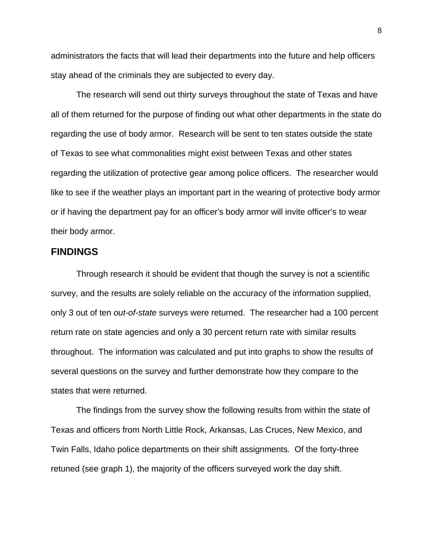administrators the facts that will lead their departments into the future and help officers stay ahead of the criminals they are subjected to every day.

The research will send out thirty surveys throughout the state of Texas and have all of them returned for the purpose of finding out what other departments in the state do regarding the use of body armor. Research will be sent to ten states outside the state of Texas to see what commonalities might exist between Texas and other states regarding the utilization of protective gear among police officers. The researcher would like to see if the weather plays an important part in the wearing of protective body armor or if having the department pay for an officer's body armor will invite officer's to wear their body armor.

# **FINDINGS**

Through research it should be evident that though the survey is not a scientific survey, and the results are solely reliable on the accuracy of the information supplied, only 3 out of ten *out-of-state* surveys were returned. The researcher had a 100 percent return rate on state agencies and only a 30 percent return rate with similar results throughout. The information was calculated and put into graphs to show the results of several questions on the survey and further demonstrate how they compare to the states that were returned.

 The findings from the survey show the following results from within the state of Texas and officers from North Little Rock, Arkansas, Las Cruces, New Mexico, and Twin Falls, Idaho police departments on their shift assignments. Of the forty-three retuned (see graph 1), the majority of the officers surveyed work the day shift.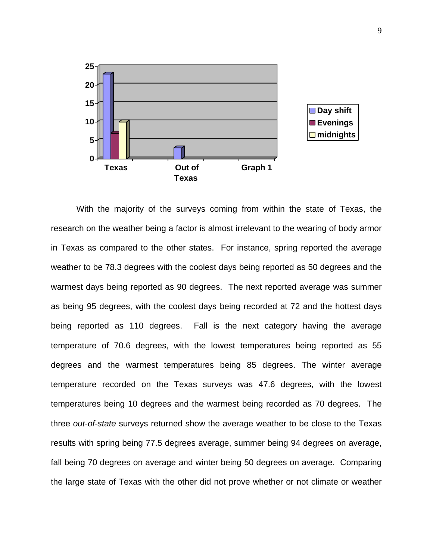

 With the majority of the surveys coming from within the state of Texas, the research on the weather being a factor is almost irrelevant to the wearing of body armor in Texas as compared to the other states. For instance, spring reported the average weather to be 78.3 degrees with the coolest days being reported as 50 degrees and the warmest days being reported as 90 degrees. The next reported average was summer as being 95 degrees, with the coolest days being recorded at 72 and the hottest days being reported as 110 degrees. Fall is the next category having the average temperature of 70.6 degrees, with the lowest temperatures being reported as 55 degrees and the warmest temperatures being 85 degrees. The winter average temperature recorded on the Texas surveys was 47.6 degrees, with the lowest temperatures being 10 degrees and the warmest being recorded as 70 degrees. The three *out-of-state* surveys returned show the average weather to be close to the Texas results with spring being 77.5 degrees average, summer being 94 degrees on average, fall being 70 degrees on average and winter being 50 degrees on average. Comparing the large state of Texas with the other did not prove whether or not climate or weather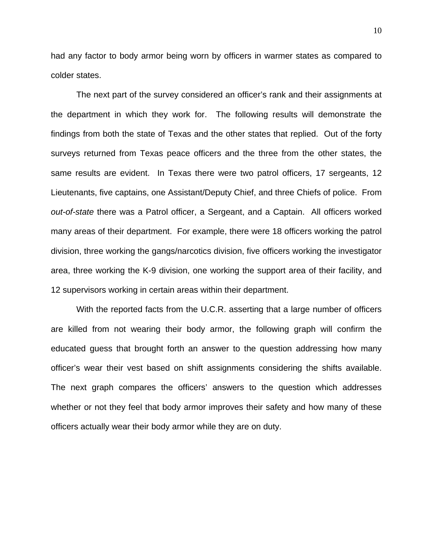had any factor to body armor being worn by officers in warmer states as compared to colder states.

 The next part of the survey considered an officer's rank and their assignments at the department in which they work for. The following results will demonstrate the findings from both the state of Texas and the other states that replied. Out of the forty surveys returned from Texas peace officers and the three from the other states, the same results are evident. In Texas there were two patrol officers, 17 sergeants, 12 Lieutenants, five captains, one Assistant/Deputy Chief, and three Chiefs of police. From *out-of-state* there was a Patrol officer, a Sergeant, and a Captain. All officers worked many areas of their department. For example, there were 18 officers working the patrol division, three working the gangs/narcotics division, five officers working the investigator area, three working the K-9 division, one working the support area of their facility, and 12 supervisors working in certain areas within their department.

 With the reported facts from the U.C.R. asserting that a large number of officers are killed from not wearing their body armor, the following graph will confirm the educated guess that brought forth an answer to the question addressing how many officer's wear their vest based on shift assignments considering the shifts available. The next graph compares the officers' answers to the question which addresses whether or not they feel that body armor improves their safety and how many of these officers actually wear their body armor while they are on duty.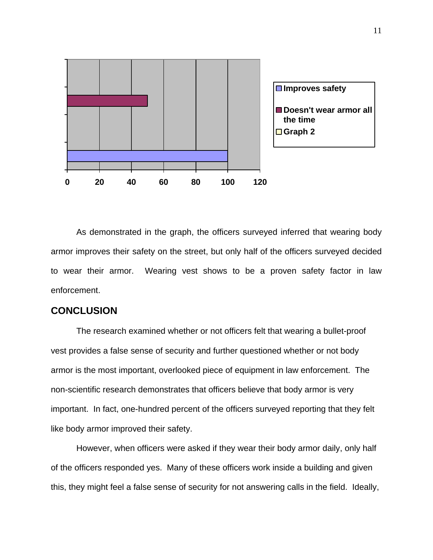

 As demonstrated in the graph, the officers surveyed inferred that wearing body armor improves their safety on the street, but only half of the officers surveyed decided to wear their armor. Wearing vest shows to be a proven safety factor in law enforcement.

### **CONCLUSION**

 The research examined whether or not officers felt that wearing a bullet-proof vest provides a false sense of security and further questioned whether or not body armor is the most important, overlooked piece of equipment in law enforcement. The non-scientific research demonstrates that officers believe that body armor is very important. In fact, one-hundred percent of the officers surveyed reporting that they felt like body armor improved their safety.

 However, when officers were asked if they wear their body armor daily, only half of the officers responded yes. Many of these officers work inside a building and given this, they might feel a false sense of security for not answering calls in the field. Ideally,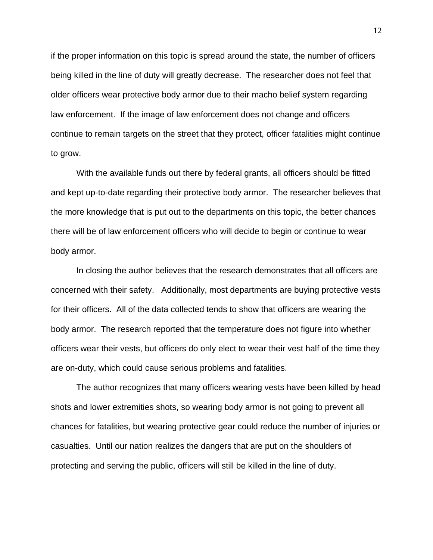if the proper information on this topic is spread around the state, the number of officers being killed in the line of duty will greatly decrease. The researcher does not feel that older officers wear protective body armor due to their macho belief system regarding law enforcement. If the image of law enforcement does not change and officers continue to remain targets on the street that they protect, officer fatalities might continue to grow.

 With the available funds out there by federal grants, all officers should be fitted and kept up-to-date regarding their protective body armor. The researcher believes that the more knowledge that is put out to the departments on this topic, the better chances there will be of law enforcement officers who will decide to begin or continue to wear body armor.

 In closing the author believes that the research demonstrates that all officers are concerned with their safety. Additionally, most departments are buying protective vests for their officers. All of the data collected tends to show that officers are wearing the body armor. The research reported that the temperature does not figure into whether officers wear their vests, but officers do only elect to wear their vest half of the time they are on-duty, which could cause serious problems and fatalities.

 The author recognizes that many officers wearing vests have been killed by head shots and lower extremities shots, so wearing body armor is not going to prevent all chances for fatalities, but wearing protective gear could reduce the number of injuries or casualties. Until our nation realizes the dangers that are put on the shoulders of protecting and serving the public, officers will still be killed in the line of duty.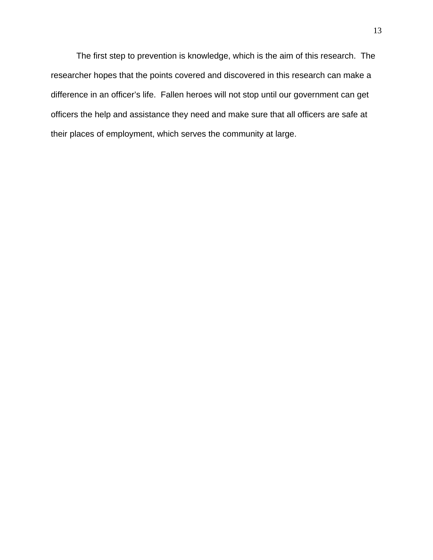The first step to prevention is knowledge, which is the aim of this research. The researcher hopes that the points covered and discovered in this research can make a difference in an officer's life. Fallen heroes will not stop until our government can get officers the help and assistance they need and make sure that all officers are safe at their places of employment, which serves the community at large.